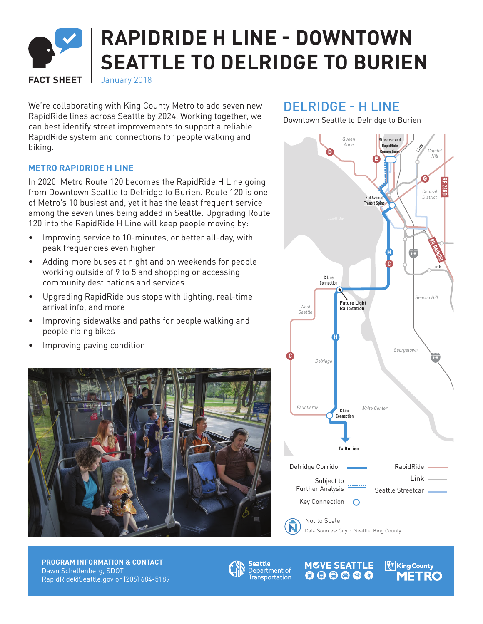# **RAPIDRIDE H LINE - DOWNTOWN SEATTLE TO DELRIDGE TO BURIEN**

**FACT SHEET** January 2018

We're collaborating with King County Metro to add seven new RapidRide lines across Seattle by 2024. Working together, we can best identify street improvements to support a reliable RapidRide system and connections for people walking and biking.

DELRIDGE - H LINE

**RR ROOSEVELT** Downtown Seattle to Delridge to Burien

#### *Queen*  **Streetcar and**  *Anne* **RapidRide**  Link *Capitol* D **Connections** *Hill* E G BR 23RD *Central* **3rd Avenue**  *District* **Transit Spine** Elliott Bay **RR RAINIER** H **I-5** C Link **C Line Connectio** *Beacon Hill* **Future Light**  *West* **Rail Station***Seattle* H *Georgetown* C **I-5** *Delridge White Center Fauntleroy* **C Line Connection To Burien** RapidRide Delridge Corridor Subject to Link .......... Further Analysis Seattle Streetcar Key Connection Not to Scale Data Sources: City of Seattle, King County

## **METRO RAPIDRIDE H LINE**

In 2020, Metro Route 120 becomes the RapidRide H Line going from Downtown Seattle to Delridge to Burien. Route 120 is one of Metro's 10 busiest and, yet it has the least frequent service among the seven lines being added in Seattle. Upgrading Route 120 into the RapidRide H Line will keep people moving by:

- Improving service to 10-minutes, or better all-day, with peak frequencies even higher
- Adding more buses at night and on weekends for people working outside of 9 to 5 and shopping or accessing community destinations and services
- Upgrading RapidRide bus stops with lighting, real-time arrival info, and more
- Improving sidewalks and paths for people walking and people riding bikes
- Improving paving condition



**PROGRAM INFORMATION & CONTACT** Dawn Schellenberg, SDOT RapidRide@Seattle.gov or (206) 684-5189



**MCVE SEATTLE F** King County Department of **Discript Container .**<br>Transportation **QQQQQ** METRO